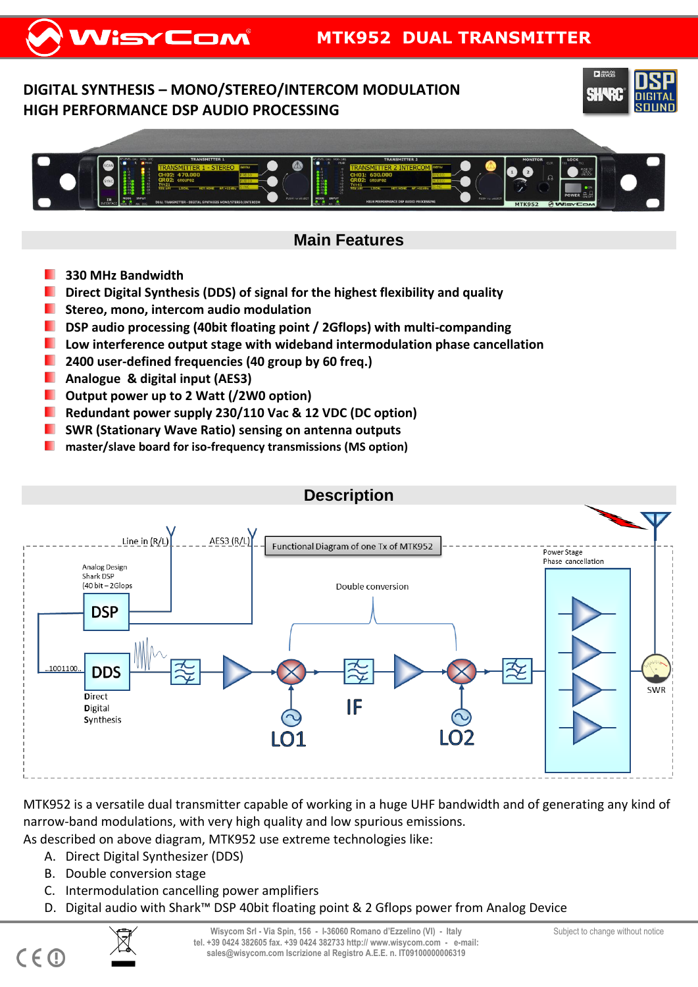## **DIGITAL SYNTHESIS – MONO/STEREO/INTERCOM MODULATION HIGH PERFORMANCE DSP AUDIO PROCESSING**





# **Main Features**

- **330 MHz Bandwidth**
- **Direct Digital Synthesis (DDS) of signal for the highest flexibility and quality**
- . **Stereo, mono, intercom audio modulation**
- **DISP** audio processing (40bit floating point / 2Gflops) with multi-companding
- **Low interference output stage with wideband intermodulation phase cancellation**
- **2400 user-defined frequencies (40 group by 60 freq.)**
- **Analogue & digital input (AES3)**
- **Output power up to 2 Watt (/2W0 option)**
- **Redundant power supply 230/110 Vac & 12 VDC (DC option)**
- **SWR (Stationary Wave Ratio) sensing on antenna outputs**
- **master/slave board for iso-frequency transmissions (MS option)**



MTK952 is a versatile dual transmitter capable of working in a huge UHF bandwidth and of generating any kind of narrow-band modulations, with very high quality and low spurious emissions.

- As described on above diagram, MTK952 use extreme technologies like:
	- A. Direct Digital Synthesizer (DDS)
	- B. Double conversion stage
	- C. Intermodulation cancelling power amplifiers
	- D. Digital audio with Shark™ DSP 40bit floating point & 2 Gflops power from Analog Device



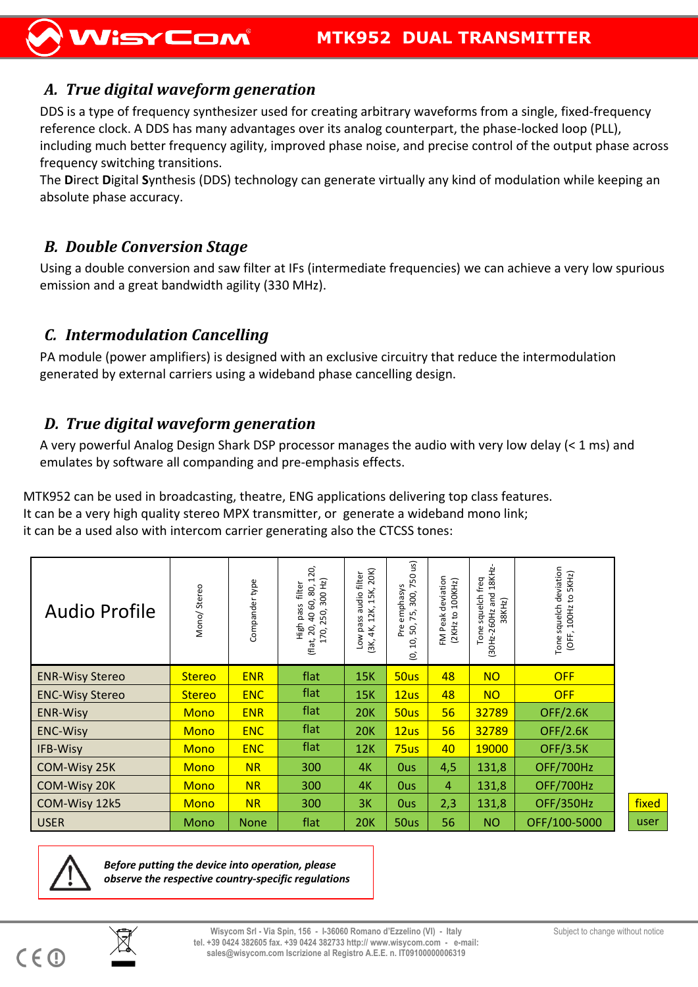## *A. True digital waveform generation*

DDS is a type of frequency synthesizer used for creating arbitrary waveforms from a single, fixed-frequency reference clock. A DDS has many advantages over its analog counterpart, the phase-locked loop (PLL), including much better frequency agility, improved phase noise, and precise control of the output phase across frequency switching transitions.

The **D**irect **D**igital **S**ynthesis (DDS) technology can generate virtually any kind of modulation while keeping an absolute phase accuracy.

#### *B. Double Conversion Stage*

Using a double conversion and saw filter at IFs (intermediate frequencies) we can achieve a very low spurious emission and a great bandwidth agility (330 MHz).

### *C. Intermodulation Cancelling*

PA module (power amplifiers) is designed with an exclusive circuitry that reduce the intermodulation generated by external carriers using a wideband phase cancelling design.

## *D. True digital waveform generation*

A very powerful Analog Design Shark DSP processor manages the audio with very low delay (< 1 ms) and emulates by software all companding and pre-emphasis effects.

MTK952 can be used in broadcasting, theatre, ENG applications delivering top class features. It can be a very high quality stereo MPX transmitter, or generate a wideband mono link; it can be a used also with intercom carrier generating also the CTCSS tones:

| <b>Audio Profile</b>   | Mono/Stereo   | Compander type | 120,<br>300 Hz)<br>filter<br>40 60, 80,<br>High pass<br>250<br>(flat, 20,<br>170, | 20K)<br>audio filter<br>15K,<br>12K,<br>Low pass<br>4К,<br>(3K, | us)<br>50<br>$\overline{ }$<br>emphasys<br>300,<br>75,<br>Pre<br>50,<br>10,<br>$\circ$ | deviation<br>(2KHz to 100KHz)<br>Peak<br>ΣÉ | (30Hz-260Hz and 18KHz-<br>Tone squelch freq<br>38KHz) | squelch deviation<br>to 5KHz)<br>(OFF, 100Hz<br>Tone |       |
|------------------------|---------------|----------------|-----------------------------------------------------------------------------------|-----------------------------------------------------------------|----------------------------------------------------------------------------------------|---------------------------------------------|-------------------------------------------------------|------------------------------------------------------|-------|
| <b>ENR-Wisy Stereo</b> | <b>Stereo</b> | <b>ENR</b>     | flat                                                                              | 15K                                                             | 50us                                                                                   | 48                                          | <b>NO</b>                                             | <b>OFF</b>                                           |       |
| <b>ENC-Wisy Stereo</b> | <b>Stereo</b> | <b>ENC</b>     | flat                                                                              | 15K                                                             | 12us                                                                                   | 48                                          | <b>NO</b>                                             | <b>OFF</b>                                           |       |
| <b>ENR-Wisy</b>        | <b>Mono</b>   | <b>ENR</b>     | flat                                                                              | <b>20K</b>                                                      | 50us                                                                                   | 56                                          | 32789                                                 | <b>OFF/2.6K</b>                                      |       |
| <b>ENC-Wisy</b>        | <b>Mono</b>   | <b>ENC</b>     | flat                                                                              | <b>20K</b>                                                      | 12us                                                                                   | 56                                          | 32789                                                 | <b>OFF/2.6K</b>                                      |       |
| <b>IFB-Wisy</b>        | <b>Mono</b>   | <b>ENC</b>     | flat                                                                              | 12K                                                             | 75us                                                                                   | 40                                          | 19000                                                 | <b>OFF/3.5K</b>                                      |       |
| COM-Wisy 25K           | <b>Mono</b>   | <b>NR</b>      | 300                                                                               | 4K                                                              | <b>Ous</b>                                                                             | 4,5                                         | 131,8                                                 | OFF/700Hz                                            |       |
| COM-Wisy 20K           | <b>Mono</b>   | <b>NR</b>      | 300                                                                               | 4K                                                              | <b>Ous</b>                                                                             | 4                                           | 131,8                                                 | OFF/700Hz                                            |       |
| COM-Wisy 12k5          | <b>Mono</b>   | <b>NR</b>      | 300                                                                               | 3K                                                              | <b>Ous</b>                                                                             | 2,3                                         | 131,8                                                 | <b>OFF/350Hz</b>                                     | fixed |
| <b>USER</b>            | Mono          | <b>None</b>    | flat                                                                              | 20K                                                             | 50us                                                                                   | 56                                          | NO.                                                   | OFF/100-5000                                         | user  |



*Before putting the device into operation, please observe the respective country-specific regulations*